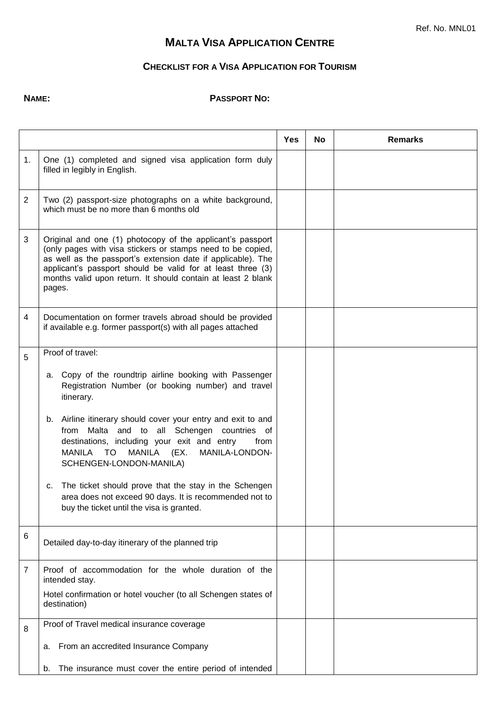## **MALTA VISA APPLICATION CENTRE**

## **CHECKLIST FOR A VISA APPLICATION FOR TOURISM**

## **NAME: PASSPORT NO:**

|                |                                                                                                                                                                                                                                                                                                                                                                                                                                                                                                                                                                                   | Yes | No. | <b>Remarks</b> |
|----------------|-----------------------------------------------------------------------------------------------------------------------------------------------------------------------------------------------------------------------------------------------------------------------------------------------------------------------------------------------------------------------------------------------------------------------------------------------------------------------------------------------------------------------------------------------------------------------------------|-----|-----|----------------|
| 1.             | One (1) completed and signed visa application form duly<br>filled in legibly in English.                                                                                                                                                                                                                                                                                                                                                                                                                                                                                          |     |     |                |
| $\overline{2}$ | Two (2) passport-size photographs on a white background,<br>which must be no more than 6 months old                                                                                                                                                                                                                                                                                                                                                                                                                                                                               |     |     |                |
| 3              | Original and one (1) photocopy of the applicant's passport<br>(only pages with visa stickers or stamps need to be copied,<br>as well as the passport's extension date if applicable). The<br>applicant's passport should be valid for at least three (3)<br>months valid upon return. It should contain at least 2 blank<br>pages.                                                                                                                                                                                                                                                |     |     |                |
| 4              | Documentation on former travels abroad should be provided<br>if available e.g. former passport(s) with all pages attached                                                                                                                                                                                                                                                                                                                                                                                                                                                         |     |     |                |
| 5              | Proof of travel:<br>a. Copy of the roundtrip airline booking with Passenger<br>Registration Number (or booking number) and travel<br>itinerary.<br>Airline itinerary should cover your entry and exit to and<br>b.<br>from Malta and to all Schengen countries of<br>destinations, including your exit and entry<br>from<br><b>MANILA</b><br>MANILA-LONDON-<br>MANILA TO<br>(EX.<br>SCHENGEN-LONDON-MANILA)<br>The ticket should prove that the stay in the Schengen<br>С.<br>area does not exceed 90 days. It is recommended not to<br>buy the ticket until the visa is granted. |     |     |                |
| 6              | Detailed day-to-day itinerary of the planned trip                                                                                                                                                                                                                                                                                                                                                                                                                                                                                                                                 |     |     |                |
| $\overline{7}$ | Proof of accommodation for the whole duration of the<br>intended stay.<br>Hotel confirmation or hotel voucher (to all Schengen states of<br>destination)                                                                                                                                                                                                                                                                                                                                                                                                                          |     |     |                |
| 8              | Proof of Travel medical insurance coverage<br>From an accredited Insurance Company<br>a.<br>The insurance must cover the entire period of intended<br>b.                                                                                                                                                                                                                                                                                                                                                                                                                          |     |     |                |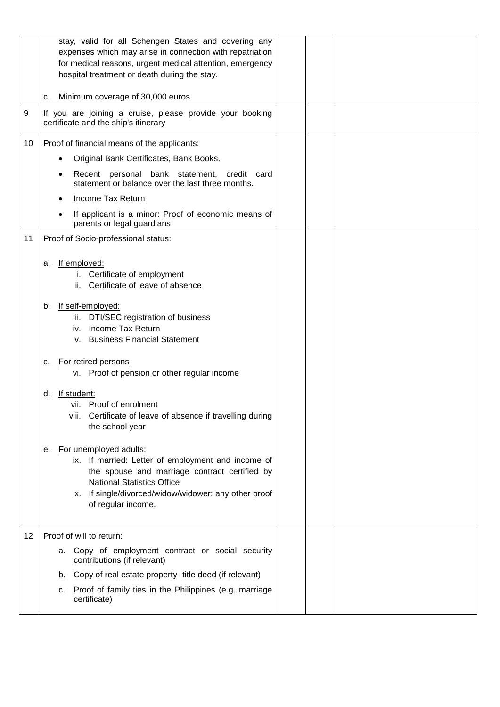|    | stay, valid for all Schengen States and covering any<br>expenses which may arise in connection with repatriation<br>for medical reasons, urgent medical attention, emergency<br>hospital treatment or death during the stay.                           |
|----|--------------------------------------------------------------------------------------------------------------------------------------------------------------------------------------------------------------------------------------------------------|
|    | Minimum coverage of 30,000 euros.<br>с.                                                                                                                                                                                                                |
| 9  | If you are joining a cruise, please provide your booking<br>certificate and the ship's itinerary                                                                                                                                                       |
| 10 | Proof of financial means of the applicants:                                                                                                                                                                                                            |
|    | Original Bank Certificates, Bank Books.                                                                                                                                                                                                                |
|    | Recent personal bank statement, credit card<br>statement or balance over the last three months.                                                                                                                                                        |
|    | Income Tax Return                                                                                                                                                                                                                                      |
|    | If applicant is a minor: Proof of economic means of<br>parents or legal guardians                                                                                                                                                                      |
| 11 | Proof of Socio-professional status:                                                                                                                                                                                                                    |
|    | If employed:<br>a.<br>i. Certificate of employment<br>ii. Certificate of leave of absence                                                                                                                                                              |
|    | If self-employed:<br>b.<br>iii. DTI/SEC registration of business<br>Income Tax Return<br>İV.<br><b>Business Financial Statement</b><br>V.                                                                                                              |
|    | For retired persons<br>c.<br>vi. Proof of pension or other regular income                                                                                                                                                                              |
|    | If student:<br>d.<br>vii. Proof of enrolment<br>viii. Certificate of leave of absence if travelling during<br>the school year                                                                                                                          |
|    | For unemployed adults:<br>е.<br>ix. If married: Letter of employment and income of<br>the spouse and marriage contract certified by<br><b>National Statistics Office</b><br>x. If single/divorced/widow/widower: any other proof<br>of regular income. |
| 12 | Proof of will to return:                                                                                                                                                                                                                               |
|    | a. Copy of employment contract or social security<br>contributions (if relevant)                                                                                                                                                                       |
|    | b. Copy of real estate property- title deed (if relevant)                                                                                                                                                                                              |
|    | c. Proof of family ties in the Philippines (e.g. marriage<br>certificate)                                                                                                                                                                              |